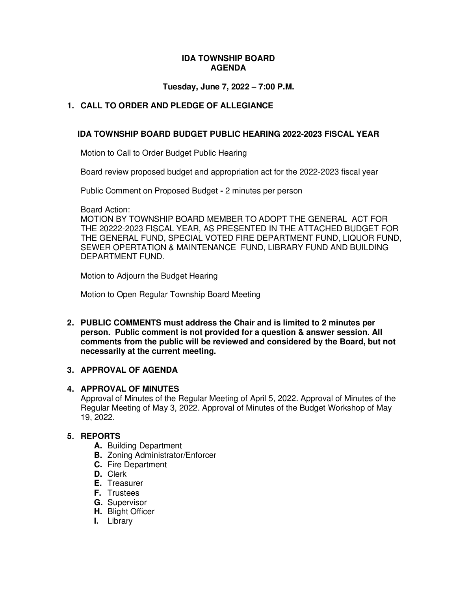#### **IDA TOWNSHIP BOARD AGENDA**

### **Tuesday, June 7, 2022 – 7:00 P.M.**

# **1. CALL TO ORDER AND PLEDGE OF ALLEGIANCE**

### **IDA TOWNSHIP BOARD BUDGET PUBLIC HEARING 2022-2023 FISCAL YEAR**

Motion to Call to Order Budget Public Hearing

Board review proposed budget and appropriation act for the 2022-2023 fiscal year

Public Comment on Proposed Budget **-** 2 minutes per person

Board Action:

MOTION BY TOWNSHIP BOARD MEMBER TO ADOPT THE GENERAL ACT FOR THE 20222-2023 FISCAL YEAR, AS PRESENTED IN THE ATTACHED BUDGET FOR THE GENERAL FUND, SPECIAL VOTED FIRE DEPARTMENT FUND, LIQUOR FUND, SEWER OPERTATION & MAINTENANCE FUND, LIBRARY FUND AND BUILDING DEPARTMENT FUND.

Motion to Adjourn the Budget Hearing

Motion to Open Regular Township Board Meeting

**2. PUBLIC COMMENTS must address the Chair and is limited to 2 minutes per person. Public comment is not provided for a question & answer session. All comments from the public will be reviewed and considered by the Board, but not necessarily at the current meeting.** 

# **3. APPROVAL OF AGENDA**

### **4. APPROVAL OF MINUTES**

Approval of Minutes of the Regular Meeting of April 5, 2022. Approval of Minutes of the Regular Meeting of May 3, 2022. Approval of Minutes of the Budget Workshop of May 19, 2022.

#### **5. REPORTS**

- **A.** Building Department
- **B.** Zoning Administrator/Enforcer
- **C.** Fire Department
- **D.** Clerk
- **E.** Treasurer
- **F.** Trustees
- **G.** Supervisor
- **H.** Blight Officer
- **I.** Library